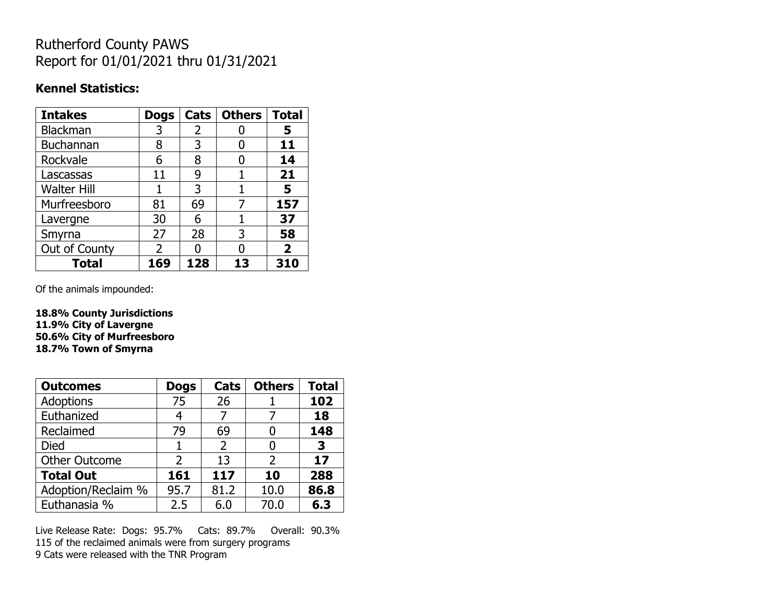# Rutherford County PAWS Report for 01/01/2021 thru 01/31/2021

#### **Kennel Statistics:**

| <b>Intakes</b>     | <b>Dogs</b>   | Cats | <b>Others</b> | <b>Total</b>   |
|--------------------|---------------|------|---------------|----------------|
| Blackman           | 3             | 2    |               | 5              |
| Buchannan          | 8             | 3    |               | 11             |
| Rockvale           | 6             | 8    |               | 14             |
| Lascassas          | 11            | 9    |               | 21             |
| <b>Walter Hill</b> |               | 3    |               | 5              |
| Murfreesboro       | 81            | 69   | 7             | 157            |
| Lavergne           | 30            | 6    |               | 37             |
| Smyrna             | 27            | 28   | 3             | 58             |
| Out of County      | $\mathcal{P}$ |      |               | $\overline{2}$ |
| <b>Total</b>       | 169           | 128  | 13            | 310            |

Of the animals impounded:

**18.8% County Jurisdictions 11.9% City of Lavergne 50.6% City of Murfreesboro 18.7% Town of Smyrna**

| <b>Outcomes</b>      | <b>Dogs</b> | Cats           | <b>Others</b> | <b>Total</b> |
|----------------------|-------------|----------------|---------------|--------------|
| Adoptions            | 75          | 26             |               | 102          |
| Euthanized           | 4           |                |               | 18           |
| Reclaimed            | 79          | 69             |               | 148          |
| Died                 |             | $\overline{2}$ |               | 3            |
| <b>Other Outcome</b> | 2           | 13             | 2             | 17           |
| <b>Total Out</b>     | 161         | 117            | 10            | 288          |
| Adoption/Reclaim %   | 95.7        | 81.2           | 10.0          | 86.8         |
| Euthanasia %         | 2.5         | 6.0            | 70.0          | 6.3          |

Live Release Rate: Dogs: 95.7% Cats: 89.7% Overall: 90.3% 115 of the reclaimed animals were from surgery programs 9 Cats were released with the TNR Program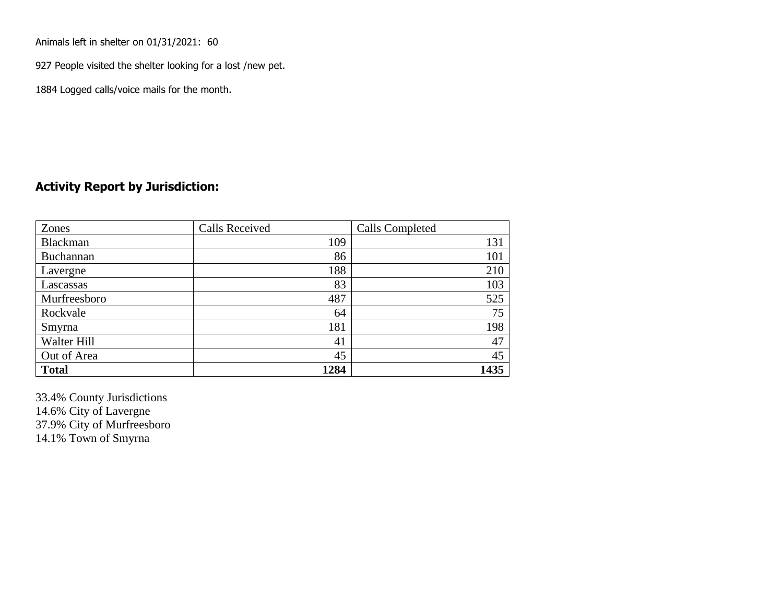Animals left in shelter on 01/31/2021: 60

927 People visited the shelter looking for a lost /new pet.

1884 Logged calls/voice mails for the month.

### **Activity Report by Jurisdiction:**

| Zones        | <b>Calls Received</b> | Calls Completed |
|--------------|-----------------------|-----------------|
| Blackman     | 109                   | 131             |
| Buchannan    | 86                    | 101             |
| Lavergne     | 188                   | 210             |
| Lascassas    | 83                    | 103             |
| Murfreesboro | 487                   | 525             |
| Rockvale     | 64                    | 75              |
| Smyrna       | 181                   | 198             |
| Walter Hill  | 41                    | 47              |
| Out of Area  | 45                    | 45              |
| <b>Total</b> | 1284                  | 1435            |

33.4% County Jurisdictions 14.6% City of Lavergne 37.9% City of Murfreesboro 14.1% Town of Smyrna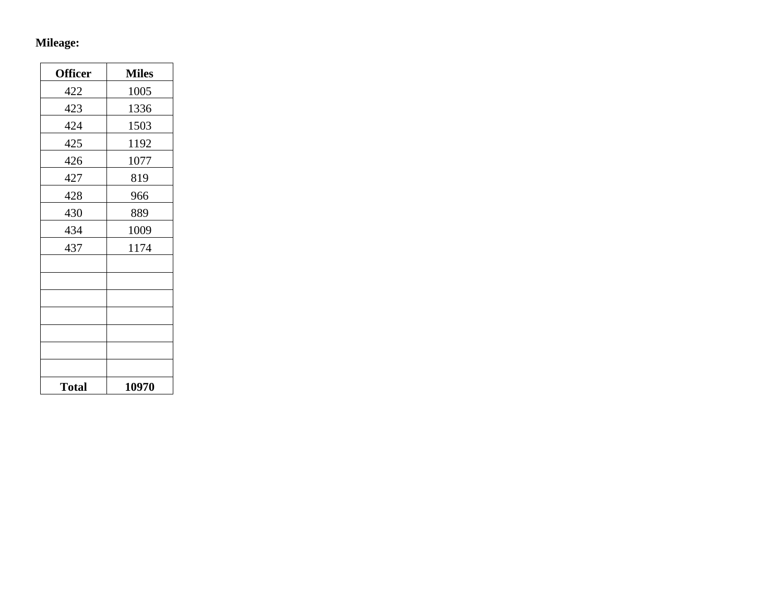## **Mileage:**

| <b>Officer</b> | <b>Miles</b> |
|----------------|--------------|
| 422            | 1005         |
| 423            | 1336         |
| 424            | 1503         |
| 425            | 1192         |
| 426            | 1077         |
| 427            | 819          |
| 428            | 966          |
| 430            | 889          |
| 434            | 1009         |
| 437            | 1174         |
|                |              |
|                |              |
|                |              |
|                |              |
|                |              |
|                |              |
|                |              |
| <b>Total</b>   | 10970        |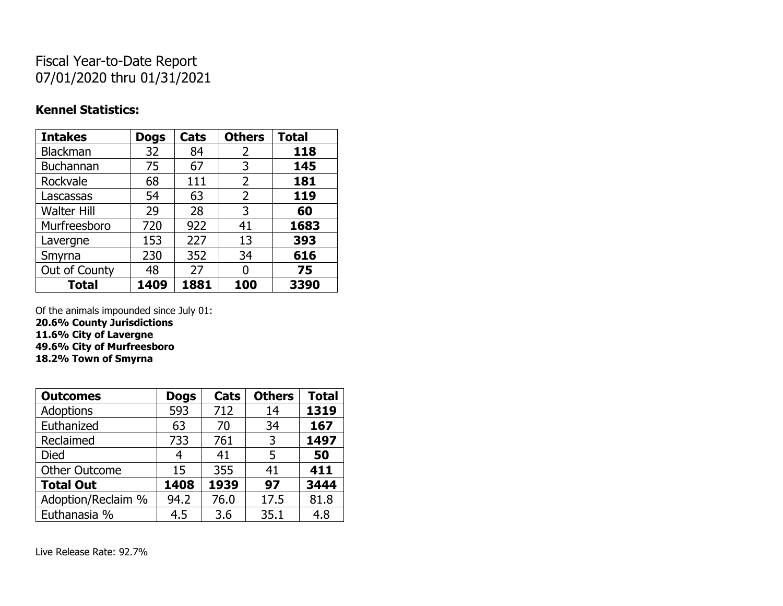# Fiscal Year-to-Date Report 07/01/2020 thru 01/31/2021

### **Kennel Statistics:**

| <b>Intakes</b>     | <b>Dogs</b> | Cats | <b>Others</b>  | <b>Total</b> |
|--------------------|-------------|------|----------------|--------------|
| Blackman           | 32          | 84   | 2              | 118          |
| <b>Buchannan</b>   | 75          | 67   | 3              | 145          |
| Rockvale           | 68          | 111  | 2              | 181          |
| Lascassas          | 54          | 63   | $\overline{2}$ | 119          |
| <b>Walter Hill</b> | 29          | 28   | 3              | 60           |
| Murfreesboro       | 720         | 922  | 41             | 1683         |
| Lavergne           | 153         | 227  | 13             | 393          |
| Smyrna             | 230         | 352  | 34             | 616          |
| Out of County      | 48          | 27   | 0              | 75           |
| <b>Total</b>       | 1409        | 1881 | 100            | 3390         |

Of the animals impounded since July 01:

**20.6% County Jurisdictions**

**11.6% City of Lavergne**

**49.6% City of Murfreesboro 18.2% Town of Smyrna**

| <b>Outcomes</b>      | <b>Dogs</b> | Cats | <b>Others</b> | <b>Total</b> |
|----------------------|-------------|------|---------------|--------------|
| <b>Adoptions</b>     | 593         | 712  | 14            | 1319         |
| Euthanized           | 63          | 70   | 34            | 167          |
| Reclaimed            | 733         | 761  | 3             | 1497         |
| <b>Died</b>          | 4           | 41   | 5             | 50           |
| <b>Other Outcome</b> | 15          | 355  | 41            | 411          |
| <b>Total Out</b>     | 1408        | 1939 | 97            | 3444         |
| Adoption/Reclaim %   | 94.2        | 76.0 | 17.5          | 81.8         |
| Euthanasia %         | 4.5         | 3.6  | 35.1          | 4.8          |

Live Release Rate: 92.7%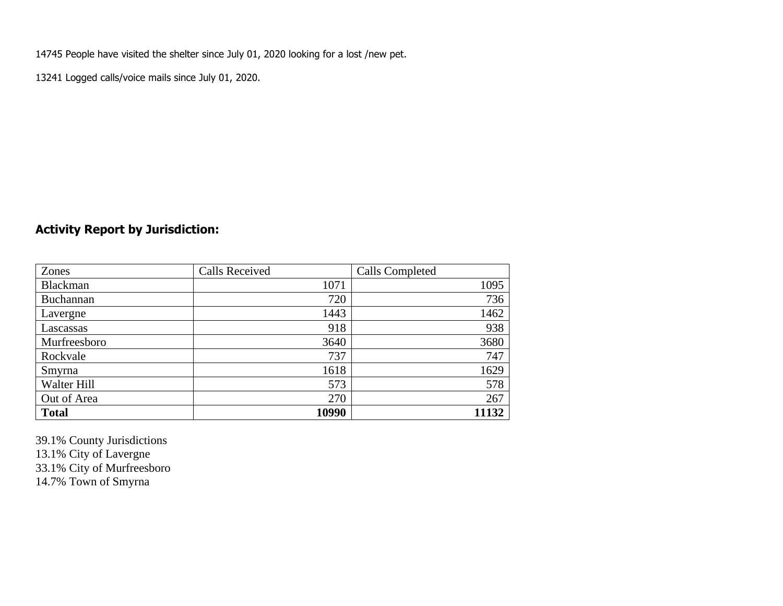14745 People have visited the shelter since July 01, 2020 looking for a lost /new pet.

13241 Logged calls/voice mails since July 01, 2020.

## **Activity Report by Jurisdiction:**

| Zones           | <b>Calls Received</b> | Calls Completed |
|-----------------|-----------------------|-----------------|
| <b>Blackman</b> | 1071                  | 1095            |
| Buchannan       | 720                   | 736             |
| Lavergne        | 1443                  | 1462            |
| Lascassas       | 918                   | 938             |
| Murfreesboro    | 3640                  | 3680            |
| Rockvale        | 737                   | 747             |
| Smyrna          | 1618                  | 1629            |
| Walter Hill     | 573                   | 578             |
| Out of Area     | 270                   | 267             |
| <b>Total</b>    | 10990                 | 11132           |

39.1% County Jurisdictions 13.1% City of Lavergne 33.1% City of Murfreesboro 14.7% Town of Smyrna